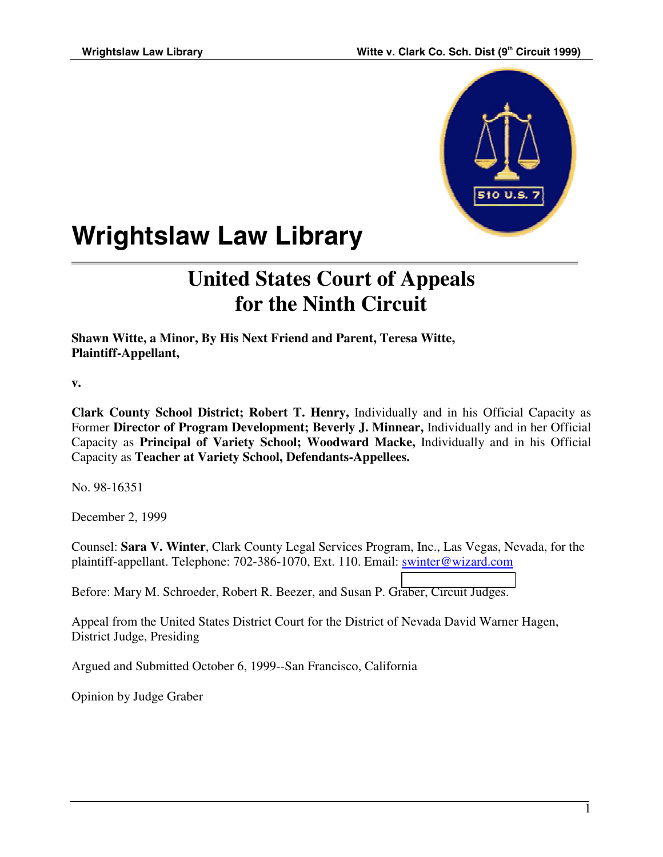

# **Wrightslaw Law Library**

## **United States Court of Appeals for the Ninth Circuit**

**Shawn Witte, a Minor, By His Next Friend and Parent, Teresa Witte, Plaintiff-Appellant,**

**v.**

**Clark County School District; Robert T. Henry,** Individually and in his Official Capacity as Former **Director of Program Development; Beverly J. Minnear,** Individually and in her Official Capacity as **Principal of Variety School; Woodward Macke,** Individually and in his Official Capacity as **Teacher at Variety School, Defendants-Appellees.**

No. 98-16351

December 2, 1999

Counsel: **Sara V. Winter**, Clark County Legal Services Program, Inc., Las Vegas, Nevada, for the plaintiff-appellant. Telephone: 702-386-1070, Ext. 110. Email: swinter@wizard.com

Before: Mary M. Schroeder, Robert R. Beezer, and Susan P. G[raber, Circuit Judges.](mailto:swinter@wizard.com)

Appeal from the United States District Court for the District of Nevada David Warner Hagen, District Judge, Presiding

Argued and Submitted October 6, 1999--San Francisco, California

Opinion by Judge Graber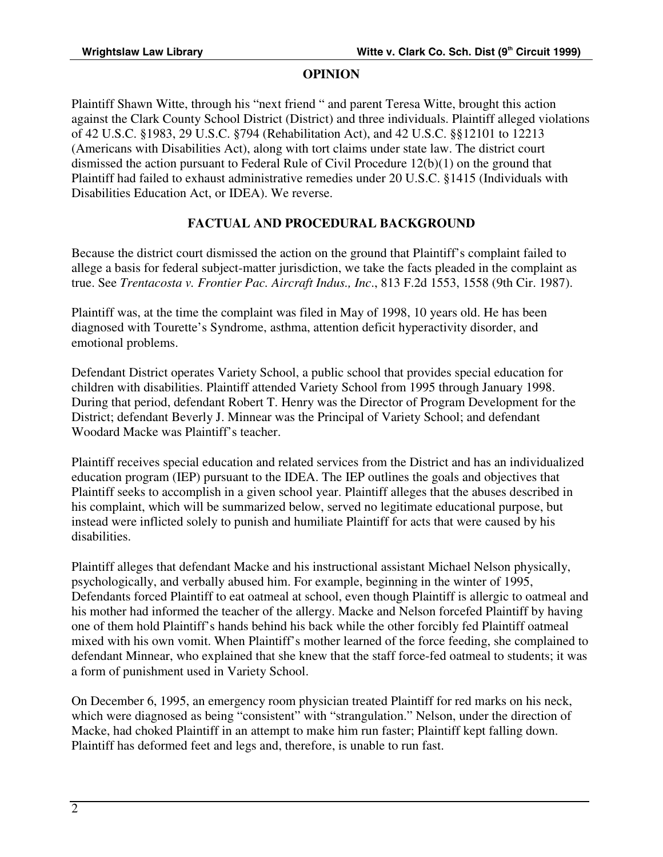#### **OPINION**

Plaintiff Shawn Witte, through his "next friend " and parent Teresa Witte, brought this action against the Clark County School District (District) and three individuals. Plaintiff alleged violations of 42 U.S.C. §1983, 29 U.S.C. §794 (Rehabilitation Act), and 42 U.S.C. §§12101 to 12213 (Americans with Disabilities Act), along with tort claims under state law. The district court dismissed the action pursuant to Federal Rule of Civil Procedure 12(b)(1) on the ground that Plaintiff had failed to exhaust administrative remedies under 20 U.S.C. §1415 (Individuals with Disabilities Education Act, or IDEA). We reverse.

### **FACTUAL AND PROCEDURAL BACKGROUND**

Because the district court dismissed the action on the ground that Plaintiff's complaint failed to allege a basis for federal subject-matter jurisdiction, we take the facts pleaded in the complaint as true. See *Trentacosta v. Frontier Pac. Aircraft Indus., Inc*., 813 F.2d 1553, 1558 (9th Cir. 1987).

Plaintiff was, at the time the complaint was filed in May of 1998, 10 years old. He has been diagnosed with Tourette's Syndrome, asthma, attention deficit hyperactivity disorder, and emotional problems.

Defendant District operates Variety School, a public school that provides special education for children with disabilities. Plaintiff attended Variety School from 1995 through January 1998. During that period, defendant Robert T. Henry was the Director of Program Development for the District; defendant Beverly J. Minnear was the Principal of Variety School; and defendant Woodard Macke was Plaintiff's teacher.

Plaintiff receives special education and related services from the District and has an individualized education program (IEP) pursuant to the IDEA. The IEP outlines the goals and objectives that Plaintiff seeks to accomplish in a given school year. Plaintiff alleges that the abuses described in his complaint, which will be summarized below, served no legitimate educational purpose, but instead were inflicted solely to punish and humiliate Plaintiff for acts that were caused by his disabilities.

Plaintiff alleges that defendant Macke and his instructional assistant Michael Nelson physically, psychologically, and verbally abused him. For example, beginning in the winter of 1995, Defendants forced Plaintiff to eat oatmeal at school, even though Plaintiff is allergic to oatmeal and his mother had informed the teacher of the allergy. Macke and Nelson forcefed Plaintiff by having one of them hold Plaintiff's hands behind his back while the other forcibly fed Plaintiff oatmeal mixed with his own vomit. When Plaintiff's mother learned of the force feeding, she complained to defendant Minnear, who explained that she knew that the staff force-fed oatmeal to students; it was a form of punishment used in Variety School.

On December 6, 1995, an emergency room physician treated Plaintiff for red marks on his neck, which were diagnosed as being "consistent" with "strangulation." Nelson, under the direction of Macke, had choked Plaintiff in an attempt to make him run faster; Plaintiff kept falling down. Plaintiff has deformed feet and legs and, therefore, is unable to run fast.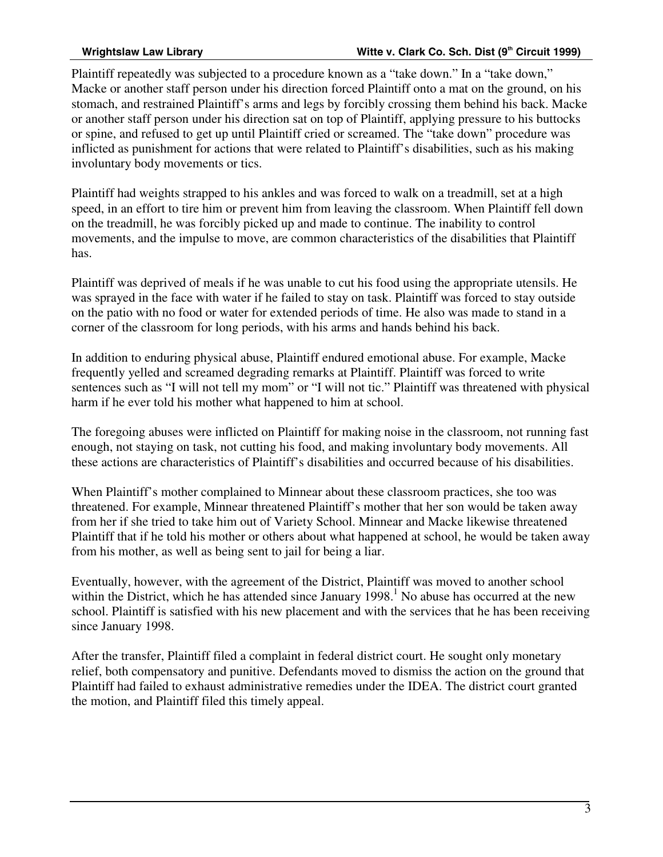Plaintiff repeatedly was subjected to a procedure known as a "take down." In a "take down," Macke or another staff person under his direction forced Plaintiff onto a mat on the ground, on his stomach, and restrained Plaintiff's arms and legs by forcibly crossing them behind his back. Macke or another staff person under his direction sat on top of Plaintiff, applying pressure to his buttocks or spine, and refused to get up until Plaintiff cried or screamed. The "take down" procedure was inflicted as punishment for actions that were related to Plaintiff's disabilities, such as his making involuntary body movements or tics.

Plaintiff had weights strapped to his ankles and was forced to walk on a treadmill, set at a high speed, in an effort to tire him or prevent him from leaving the classroom. When Plaintiff fell down on the treadmill, he was forcibly picked up and made to continue. The inability to control movements, and the impulse to move, are common characteristics of the disabilities that Plaintiff has.

Plaintiff was deprived of meals if he was unable to cut his food using the appropriate utensils. He was sprayed in the face with water if he failed to stay on task. Plaintiff was forced to stay outside on the patio with no food or water for extended periods of time. He also was made to stand in a corner of the classroom for long periods, with his arms and hands behind his back.

In addition to enduring physical abuse, Plaintiff endured emotional abuse. For example, Macke frequently yelled and screamed degrading remarks at Plaintiff. Plaintiff was forced to write sentences such as "I will not tell my mom" or "I will not tic." Plaintiff was threatened with physical harm if he ever told his mother what happened to him at school.

The foregoing abuses were inflicted on Plaintiff for making noise in the classroom, not running fast enough, not staying on task, not cutting his food, and making involuntary body movements. All these actions are characteristics of Plaintiff's disabilities and occurred because of his disabilities.

When Plaintiff's mother complained to Minnear about these classroom practices, she too was threatened. For example, Minnear threatened Plaintiff's mother that her son would be taken away from her if she tried to take him out of Variety School. Minnear and Macke likewise threatened Plaintiff that if he told his mother or others about what happened at school, he would be taken away from his mother, as well as being sent to jail for being a liar.

Eventually, however, with the agreement of the District, Plaintiff was moved to another school within the District, which he has attended since January  $1998$ .<sup>1</sup> No abuse has occurred at the new school. Plaintiff is satisfied with his new placement and with the services that he has been receiving since January 1998.

After the transfer, Plaintiff filed a complaint in federal district court. He sought only monetary relief, both compensatory and punitive. Defendants moved to dismiss the action on the ground that Plaintiff had failed to exhaust administrative remedies under the IDEA. The district court granted the motion, and Plaintiff filed this timely appeal.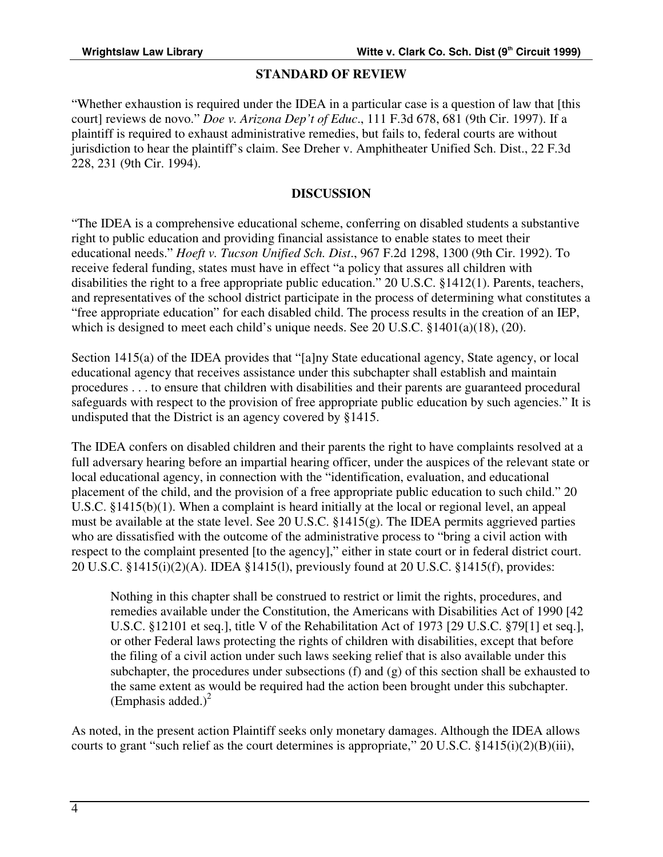#### **STANDARD OF REVIEW**

"Whether exhaustion is required under the IDEA in a particular case is a question of law that [this court] reviews de novo." *Doe v. Arizona Dep't of Educ*., 111 F.3d 678, 681 (9th Cir. 1997). If a plaintiff is required to exhaust administrative remedies, but fails to, federal courts are without jurisdiction to hear the plaintiff's claim. See Dreher v. Amphitheater Unified Sch. Dist., 22 F.3d 228, 231 (9th Cir. 1994).

#### **DISCUSSION**

"The IDEA is a comprehensive educational scheme, conferring on disabled students a substantive right to public education and providing financial assistance to enable states to meet their educational needs." *Hoeft v. Tucson Unified Sch. Dist*., 967 F.2d 1298, 1300 (9th Cir. 1992). To receive federal funding, states must have in effect "a policy that assures all children with disabilities the right to a free appropriate public education." 20 U.S.C. §1412(1). Parents, teachers, and representatives of the school district participate in the process of determining what constitutes a "free appropriate education" for each disabled child. The process results in the creation of an IEP, which is designed to meet each child's unique needs. See 20 U.S.C. §1401(a)(18), (20).

Section 1415(a) of the IDEA provides that "[a]ny State educational agency, State agency, or local educational agency that receives assistance under this subchapter shall establish and maintain procedures . . . to ensure that children with disabilities and their parents are guaranteed procedural safeguards with respect to the provision of free appropriate public education by such agencies." It is undisputed that the District is an agency covered by §1415.

The IDEA confers on disabled children and their parents the right to have complaints resolved at a full adversary hearing before an impartial hearing officer, under the auspices of the relevant state or local educational agency, in connection with the "identification, evaluation, and educational placement of the child, and the provision of a free appropriate public education to such child." 20 U.S.C. §1415(b)(1). When a complaint is heard initially at the local or regional level, an appeal must be available at the state level. See 20 U.S.C. §1415(g). The IDEA permits aggrieved parties who are dissatisfied with the outcome of the administrative process to "bring a civil action with respect to the complaint presented [to the agency]," either in state court or in federal district court. 20 U.S.C. §1415(i)(2)(A). IDEA §1415(l), previously found at 20 U.S.C. §1415(f), provides:

Nothing in this chapter shall be construed to restrict or limit the rights, procedures, and remedies available under the Constitution, the Americans with Disabilities Act of 1990 [42 U.S.C. §12101 et seq.], title V of the Rehabilitation Act of 1973 [29 U.S.C. §79[1] et seq.], or other Federal laws protecting the rights of children with disabilities, except that before the filing of a civil action under such laws seeking relief that is also available under this subchapter, the procedures under subsections  $(f)$  and  $(g)$  of this section shall be exhausted to the same extent as would be required had the action been brought under this subchapter. (Emphasis added.)<sup>2</sup>

As noted, in the present action Plaintiff seeks only monetary damages. Although the IDEA allows courts to grant "such relief as the court determines is appropriate," 20 U.S.C. §1415(i)(2)(B)(iii),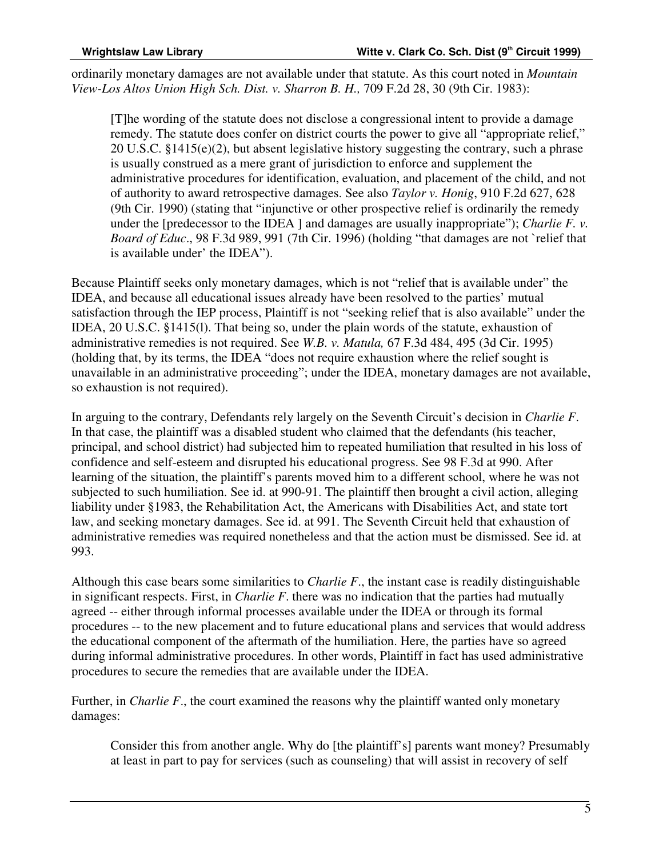ordinarily monetary damages are not available under that statute. As this court noted in *Mountain View-Los Altos Union High Sch. Dist. v. Sharron B. H.,* 709 F.2d 28, 30 (9th Cir. 1983):

[T]he wording of the statute does not disclose a congressional intent to provide a damage remedy. The statute does confer on district courts the power to give all "appropriate relief," 20 U.S.C. §1415(e)(2), but absent legislative history suggesting the contrary, such a phrase is usually construed as a mere grant of jurisdiction to enforce and supplement the administrative procedures for identification, evaluation, and placement of the child, and not of authority to award retrospective damages. See also *Taylor v. Honig*, 910 F.2d 627, 628 (9th Cir. 1990) (stating that "injunctive or other prospective relief is ordinarily the remedy under the [predecessor to the IDEA ] and damages are usually inappropriate"); *Charlie F. v. Board of Educ*., 98 F.3d 989, 991 (7th Cir. 1996) (holding "that damages are not `relief that is available under' the IDEA").

Because Plaintiff seeks only monetary damages, which is not "relief that is available under" the IDEA, and because all educational issues already have been resolved to the parties' mutual satisfaction through the IEP process, Plaintiff is not "seeking relief that is also available" under the IDEA, 20 U.S.C. §1415(l). That being so, under the plain words of the statute, exhaustion of administrative remedies is not required. See *W.B. v. Matula,* 67 F.3d 484, 495 (3d Cir. 1995) (holding that, by its terms, the IDEA "does not require exhaustion where the relief sought is unavailable in an administrative proceeding"; under the IDEA, monetary damages are not available, so exhaustion is not required).

In arguing to the contrary, Defendants rely largely on the Seventh Circuit's decision in *Charlie F*. In that case, the plaintiff was a disabled student who claimed that the defendants (his teacher, principal, and school district) had subjected him to repeated humiliation that resulted in his loss of confidence and self-esteem and disrupted his educational progress. See 98 F.3d at 990. After learning of the situation, the plaintiff's parents moved him to a different school, where he was not subjected to such humiliation. See id. at 990-91. The plaintiff then brought a civil action, alleging liability under §1983, the Rehabilitation Act, the Americans with Disabilities Act, and state tort law, and seeking monetary damages. See id. at 991. The Seventh Circuit held that exhaustion of administrative remedies was required nonetheless and that the action must be dismissed. See id. at 993.

Although this case bears some similarities to *Charlie F*., the instant case is readily distinguishable in significant respects. First, in *Charlie F*. there was no indication that the parties had mutually agreed -- either through informal processes available under the IDEA or through its formal procedures -- to the new placement and to future educational plans and services that would address the educational component of the aftermath of the humiliation. Here, the parties have so agreed during informal administrative procedures. In other words, Plaintiff in fact has used administrative procedures to secure the remedies that are available under the IDEA.

Further, in *Charlie F*., the court examined the reasons why the plaintiff wanted only monetary damages:

Consider this from another angle. Why do [the plaintiff's] parents want money? Presumably at least in part to pay for services (such as counseling) that will assist in recovery of self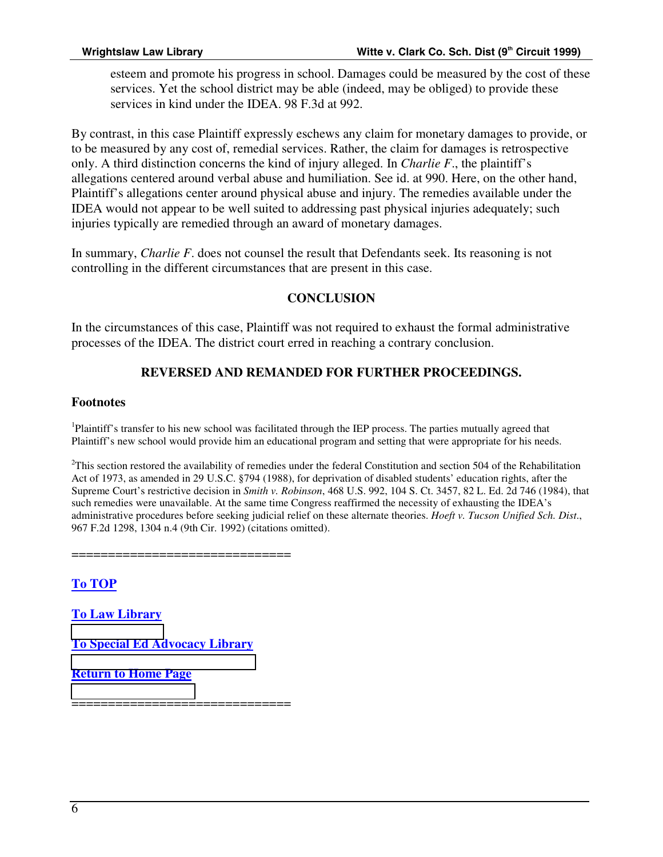esteem and promote his progress in school. Damages could be measured by the cost of these services. Yet the school district may be able (indeed, may be obliged) to provide these services in kind under the IDEA. 98 F.3d at 992.

By contrast, in this case Plaintiff expressly eschews any claim for monetary damages to provide, or to be measured by any cost of, remedial services. Rather, the claim for damages is retrospective only. A third distinction concerns the kind of injury alleged. In *Charlie F*., the plaintiff's allegations centered around verbal abuse and humiliation. See id. at 990. Here, on the other hand, Plaintiff's allegations center around physical abuse and injury. The remedies available under the IDEA would not appear to be well suited to addressing past physical injuries adequately; such injuries typically are remedied through an award of monetary damages.

In summary, *Charlie F*. does not counsel the result that Defendants seek. Its reasoning is not controlling in the different circumstances that are present in this case.

#### **CONCLUSION**

In the circumstances of this case, Plaintiff was not required to exhaust the formal administrative processes of the IDEA. The district court erred in reaching a contrary conclusion.

### **REVERSED AND REMANDED FOR FURTHER PROCEEDINGS.**

#### **Footnotes**

<sup>1</sup>Plaintiff's transfer to his new school was facilitated through the IEP process. The parties mutually agreed that Plaintiff's new school would provide him an educational program and setting that were appropriate for his needs.

 $2$ This section restored the availability of remedies under the federal Constitution and section 504 of the Rehabilitation Act of 1973, as amended in 29 U.S.C. §794 (1988), for deprivation of disabled students' education rights, after the Supreme Court's restrictive decision in *Smith v. Robinson*, 468 U.S. 992, 104 S. Ct. 3457, 82 L. Ed. 2d 746 (1984), that such remedies were unavailable. At the same time Congress reaffirmed the necessity of exhausting the IDEA's administrative procedures before seeking judicial relief on these alternate theories. *Hoeft v. Tucson Unified Sch. Dist*., 967 F.2d 1298, 1304 n.4 (9th Cir. 1992) (citations omitted).

============

**To TOP**

**To Law Library**

**[To Special Ed Ad](http://www.wrightslaw.com/main_lawlibrary.htm)vocacy Library**

**[Return to Home Page](http://www.wrightslaw.com/mainpage_library.htm)**

[=================](http://www.wrightslaw.com/)================